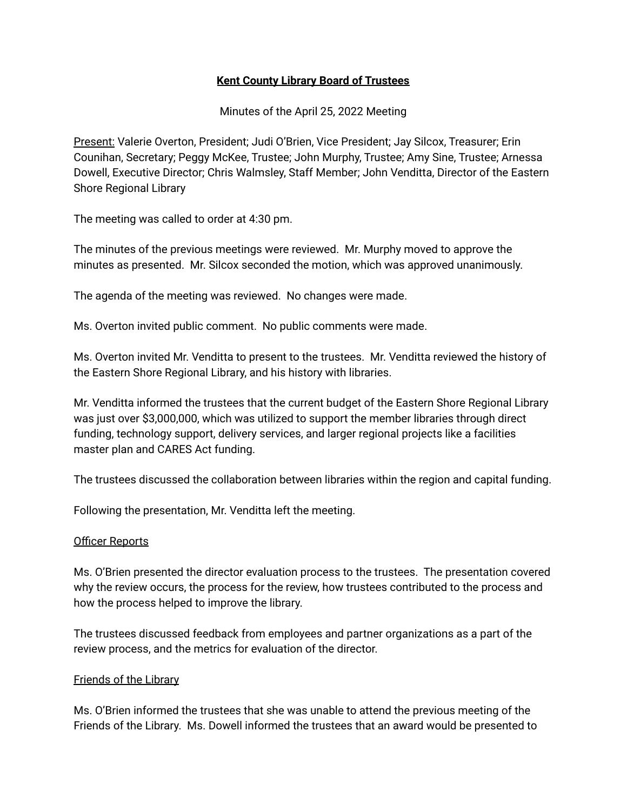### **Kent County Library Board of Trustees**

Minutes of the April 25, 2022 Meeting

Present: Valerie Overton, President; Judi O'Brien, Vice President; Jay Silcox, Treasurer; Erin Counihan, Secretary; Peggy McKee, Trustee; John Murphy, Trustee; Amy Sine, Trustee; Arnessa Dowell, Executive Director; Chris Walmsley, Staff Member; John Venditta, Director of the Eastern Shore Regional Library

The meeting was called to order at 4:30 pm.

The minutes of the previous meetings were reviewed. Mr. Murphy moved to approve the minutes as presented. Mr. Silcox seconded the motion, which was approved unanimously.

The agenda of the meeting was reviewed. No changes were made.

Ms. Overton invited public comment. No public comments were made.

Ms. Overton invited Mr. Venditta to present to the trustees. Mr. Venditta reviewed the history of the Eastern Shore Regional Library, and his history with libraries.

Mr. Venditta informed the trustees that the current budget of the Eastern Shore Regional Library was just over \$3,000,000, which was utilized to support the member libraries through direct funding, technology support, delivery services, and larger regional projects like a facilities master plan and CARES Act funding.

The trustees discussed the collaboration between libraries within the region and capital funding.

Following the presentation, Mr. Venditta left the meeting.

#### Officer Reports

Ms. O'Brien presented the director evaluation process to the trustees. The presentation covered why the review occurs, the process for the review, how trustees contributed to the process and how the process helped to improve the library.

The trustees discussed feedback from employees and partner organizations as a part of the review process, and the metrics for evaluation of the director.

#### Friends of the Library

Ms. O'Brien informed the trustees that she was unable to attend the previous meeting of the Friends of the Library. Ms. Dowell informed the trustees that an award would be presented to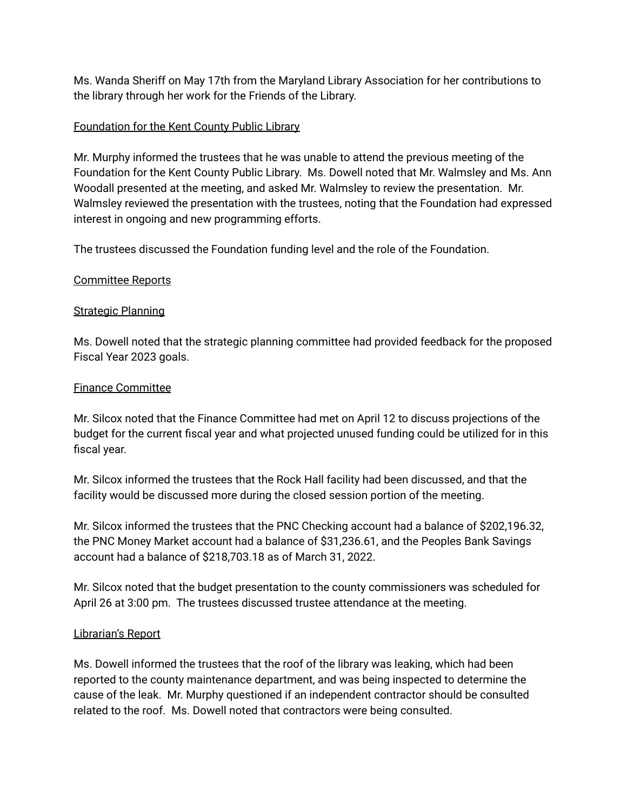Ms. Wanda Sheriff on May 17th from the Maryland Library Association for her contributions to the library through her work for the Friends of the Library.

# Foundation for the Kent County Public Library

Mr. Murphy informed the trustees that he was unable to attend the previous meeting of the Foundation for the Kent County Public Library. Ms. Dowell noted that Mr. Walmsley and Ms. Ann Woodall presented at the meeting, and asked Mr. Walmsley to review the presentation. Mr. Walmsley reviewed the presentation with the trustees, noting that the Foundation had expressed interest in ongoing and new programming efforts.

The trustees discussed the Foundation funding level and the role of the Foundation.

# Committee Reports

# Strategic Planning

Ms. Dowell noted that the strategic planning committee had provided feedback for the proposed Fiscal Year 2023 goals.

# Finance Committee

Mr. Silcox noted that the Finance Committee had met on April 12 to discuss projections of the budget for the current fiscal year and what projected unused funding could be utilized for in this fiscal year.

Mr. Silcox informed the trustees that the Rock Hall facility had been discussed, and that the facility would be discussed more during the closed session portion of the meeting.

Mr. Silcox informed the trustees that the PNC Checking account had a balance of \$202,196.32, the PNC Money Market account had a balance of \$31,236.61, and the Peoples Bank Savings account had a balance of \$218,703.18 as of March 31, 2022.

Mr. Silcox noted that the budget presentation to the county commissioners was scheduled for April 26 at 3:00 pm. The trustees discussed trustee attendance at the meeting.

# Librarian's Report

Ms. Dowell informed the trustees that the roof of the library was leaking, which had been reported to the county maintenance department, and was being inspected to determine the cause of the leak. Mr. Murphy questioned if an independent contractor should be consulted related to the roof. Ms. Dowell noted that contractors were being consulted.